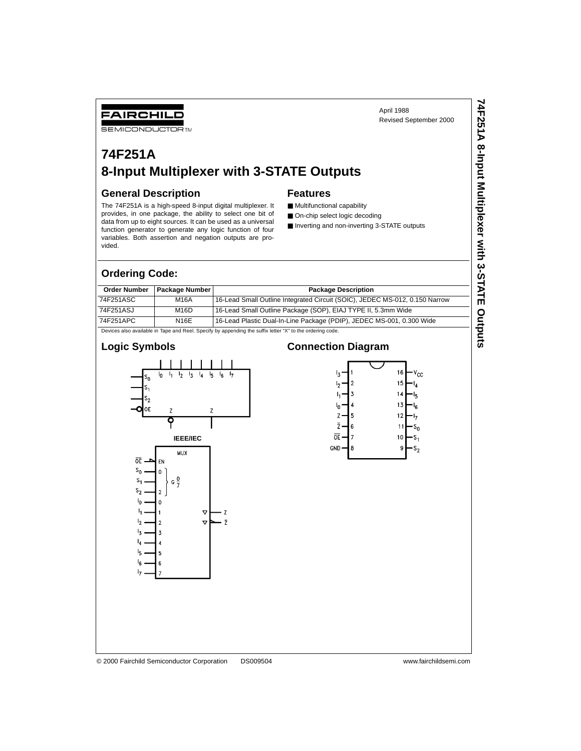**74F251A 8-Input Multiplexer with 3-STATE Outputs**

74F251A 8-Input Multiplexer with 3-STATE Outputs

## FAIRCHILD

**SEMICONDUCTOR TM** 

# **74F251A 8-Input Multiplexer with 3-STATE Outputs**

#### **General Description**

The 74F251A is a high-speed 8-input digital multiplexer. It provides, in one package, the ability to select one bit of data from up to eight sources. It can be used as a universal function generator to generate any logic function of four variables. Both assertion and negation outputs are provided.

## **Features**

- Multifunctional capability
- On-chip select logic decoding
- Inverting and non-inverting 3-STATE outputs

#### **Ordering Code:**

| <b>Order Number</b> | <b>Package Number</b>                                                                                    | <b>Package Description</b>                                                  |  |  |  |  |  |  |
|---------------------|----------------------------------------------------------------------------------------------------------|-----------------------------------------------------------------------------|--|--|--|--|--|--|
| 74F251ASC           | M16A                                                                                                     | 16-Lead Small Outline Integrated Circuit (SOIC), JEDEC MS-012, 0.150 Narrow |  |  |  |  |  |  |
| 74F251ASJ           | M <sub>16</sub> D                                                                                        | 16-Lead Small Outline Package (SOP), EIAJ TYPE II, 5.3mm Wide               |  |  |  |  |  |  |
| 74F251APC           | <b>N16E</b>                                                                                              | 16-Lead Plastic Dual-In-Line Package (PDIP), JEDEC MS-001, 0.300 Wide       |  |  |  |  |  |  |
|                     | Devices also available in Tape and Reel. Specify by appending the suffix letter "X" to the ordering code |                                                                             |  |  |  |  |  |  |

Devices also available in Tape and Reel. Specify by appending the suffix letter "X" to the ordering code.

### **Logic Symbols**



## **Connection Diagram**



#### © 2000 Fairchild Semiconductor Corporation DS009504 www.fairchildsemi.com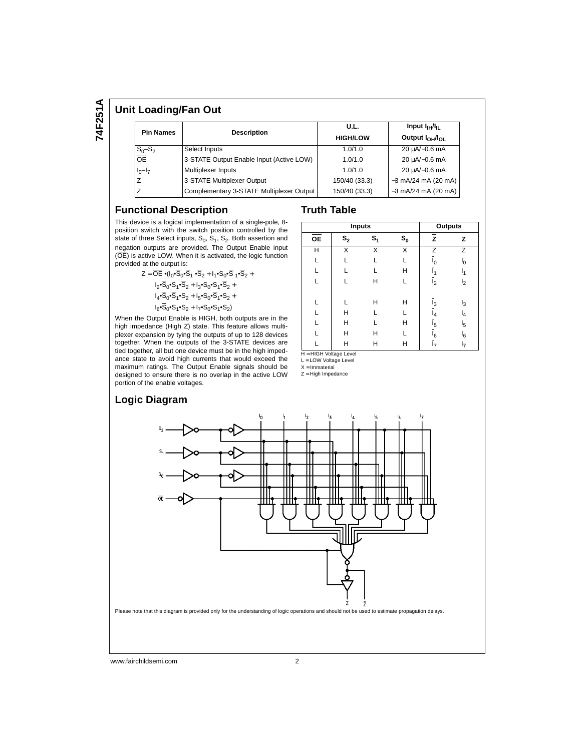74F251A **74F251A**

#### **Unit Loading/Fan Out**

| <b>Pin Names</b>     | <b>Description</b>                       | U.L.            | Input $I_{\rm HI}/I_{\rm H}$ |  |  |
|----------------------|------------------------------------------|-----------------|------------------------------|--|--|
|                      |                                          | <b>HIGH/LOW</b> | Output $I_{OH}/I_{O1}$       |  |  |
| $\frac{S_0-S_2}{OE}$ | Select Inputs                            | 1.0/1.0         | 20 µA/-0.6 mA                |  |  |
|                      | 3-STATE Output Enable Input (Active LOW) | 1.0/1.0         | 20 µA/-0.6 mA                |  |  |
| $I_0-I_7$            | Multiplexer Inputs                       | 1.0/1.0         | 20 µA/-0.6 mA                |  |  |
|                      | 3-STATE Multiplexer Output               | 150/40 (33.3)   | $-3$ mA/24 mA (20 mA)        |  |  |
|                      | Complementary 3-STATE Multiplexer Output | 150/40 (33.3)   | $-3$ mA/24 mA (20 mA)        |  |  |

#### **Functional Description**

#### **Truth Table**

This device is a logical implementation of a single-pole, 8 position switch with the switch position controlled by the state of three Select inputs,  $S_0$ ,  $S_1$ ,  $S_2$ . Both assertion and negation outputs are provided. The Output Enable input (OE) is active LOW. When it is activated, the logic function provided at the output is:

 $Z = \overline{OE} \cdot (I_0 \cdot \overline{S}_0 \cdot \overline{S}_1 \cdot \overline{S}_2 + I_1 \cdot S_0 \cdot \overline{S}_1 \cdot \overline{S}_2 +$  $I_2 \cdot \overline{S}_0 \cdot S_1 \cdot \overline{S}_2 + I_3 \cdot S_0 \cdot S_1 \cdot \overline{S}_2 +$  $I_4 \bullet \overline{S}_0 \bullet \overline{S}_1 \bullet S_2 + I_5 \bullet S_0 \bullet \overline{S}_1 \bullet S_2 +$  $I_6 \cdot \overline{S}_0 \cdot S_1 \cdot S_2 + I_7 \cdot S_0 \cdot S_1 \cdot S_2$ 

When the Output Enable is HIGH, both outputs are in the high impedance (High Z) state. This feature allows multiplexer expansion by tying the outputs of up to 128 devices together. When the outputs of the 3-STATE devices are tied together, all but one device must be in the high impedance state to avoid high currents that would exceed the maximum ratings. The Output Enable signals should be designed to ensure there is no overlap in the active LOW portion of the enable voltages.

|           | <b>Inputs</b>  |       | <b>Outputs</b> |                  |                |
|-----------|----------------|-------|----------------|------------------|----------------|
| <b>OE</b> | $\mathbb{S}_2$ | $S_1$ | $s_{o}$        | Z                | z              |
| H         | X              | X     | X              | Z                | Z              |
|           | I.             | L     |                | $\mathbf{I}_{0}$ | ۱ <sub>0</sub> |
|           | I.             | L     | Н              |                  | 11             |
| г         | I.             | н     | L              | I <sub>2</sub>   | I <sub>2</sub> |
|           |                |       |                |                  |                |
|           | I.             | н     | Н              | $I_3$            | $I_3$          |
|           | н              | L     |                | I4               | l <sub>4</sub> |
|           | н              |       | Н              | $I_5$            | $I_5$          |
|           | Н              | Н     |                | $I_6$            | $I_6$          |
|           | Н              | Н     | H              | 17               | 17             |

H = HIGH Voltage Level

L = LOW Voltage Level

X = Immaterial Z = High Impedance



#### www.fairchildsemi.com 2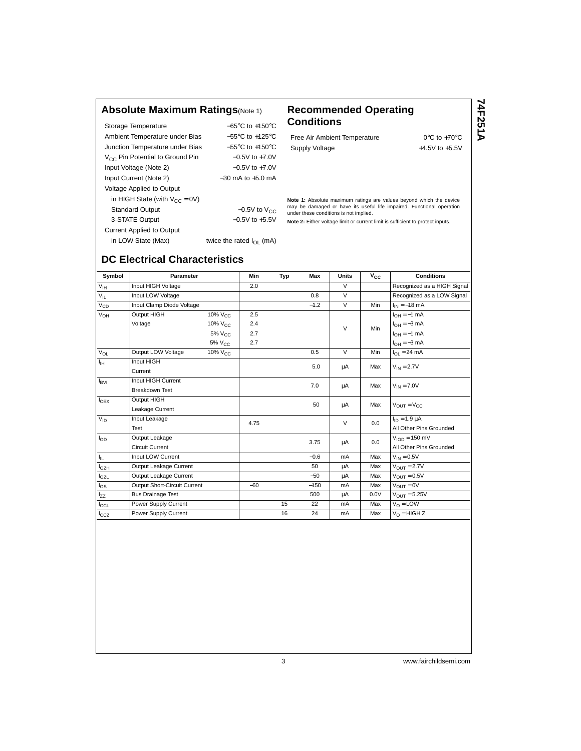#### **Absolute Maximum Ratings**(Note 1) **Recommended Operating**

Storage Temperature −65°C to +150°C Ambient Temperature under Bias −55°C to +125°C Junction Temperature under Bias −55°C to +150°C V<sub>CC</sub> Pin Potential to Ground Pin −0.5V to +7.0V Input Voltage (Note 2) −0.5V to +7.0V Input Current (Note 2) −30 mA to +5.0 mA Voltage Applied to Output in HIGH State (with  $V_{CC} = 0V$ ) Standard Output  $-0.5V$  to  $V_{CC}$ 3-STATE Output −0.5V to +5.5V Current Applied to Output

# **Conditions**

Free Air Ambient Temperature 0°C to +70°C Supply Voltage  $+4.5V$  to  $+5.5V$  74F251A **74F251A**

**Note 1:** Absolute maximum ratings are values beyond which the device may be damaged or have its useful life impaired. Functional operation under these conditions is not implied.

**Note 2:** Either voltage limit or current limit is sufficient to protect inputs.

# in LOW State (Max) twice the rated  $I_{OL}$  (mA)

**DC Electrical Characteristics**

| Symbol           | <b>Parameter</b>             |                                | Min   | Typ | <b>Max</b> | <b>Units</b>   | $V_{CC}$ | <b>Conditions</b>           |
|------------------|------------------------------|--------------------------------|-------|-----|------------|----------------|----------|-----------------------------|
| $V_{\text{IH}}$  | Input HIGH Voltage           |                                | 2.0   |     |            | $\vee$         |          | Recognized as a HIGH Signal |
| $V_{IL}$         | Input LOW Voltage            |                                |       |     | 0.8        | $\vee$         |          | Recognized as a LOW Signal  |
| $V_{CD}$         | Input Clamp Diode Voltage    |                                |       |     | $-1.2$     | $\vee$         | Min      | $I_{IN} = -18$ mA           |
| $V_{OH}$         | Output HIGH                  | 10% V <sub>CC</sub>            | 2.5   |     |            |                |          | $I_{OH} = -1$ mA            |
|                  | Voltage                      | $10\%$ $V_{C}$                 | 2.4   |     |            | $\vee$         | Min      | $I_{OH} = -3$ mA            |
|                  |                              | $5\%$ $V_{C}$                  | 2.7   |     |            |                |          | $I_{OH} = -1$ mA            |
|                  |                              | 5% V <sub>CC</sub>             | 2.7   |     |            |                |          | $I_{OH} = -3$ mA            |
| $V_{OL}$         | Output LOW Voltage           | $\frac{10}{%}$ V <sub>CC</sub> |       |     | 0.5        | $\overline{V}$ | Min      | $I_{OL}$ = 24 mA            |
| Ιн               | Input HIGH                   |                                |       |     | 5.0        |                |          |                             |
|                  | Current                      |                                |       |     |            | μA             | Max      | $V_{IN} = 2.7V$             |
| $I_{\text{BVI}}$ | Input HIGH Current           |                                |       |     | 7.0        |                | Max      |                             |
|                  | <b>Breakdown Test</b>        |                                |       |     |            | μA             |          | $V_{IN} = 7.0V$             |
| $I_{CEX}$        | Output HIGH                  |                                |       |     | 50         |                | Max      | $V_{OUT} = V_{CC}$          |
|                  | Leakage Current              |                                |       |     |            | μA             |          |                             |
| $V_{ID}$         | Input Leakage                |                                | 4.75  |     |            | $\vee$         | 0.0      | $I_{ID} = 1.9 \mu A$        |
|                  | Test                         |                                |       |     |            |                |          | All Other Pins Grounded     |
| $I_{OD}$         | Output Leakage               |                                |       |     | 3.75       |                | 0.0      | $VION = 150$ mV             |
|                  | <b>Circuit Current</b>       |                                |       |     |            | μA             |          | All Other Pins Grounded     |
| Ι'n.             | Input LOW Current            |                                |       |     | $-0.6$     | mA             | Max      | $V_{IN} = 0.5V$             |
| $I_{OZH}$        | Output Leakage Current       |                                |       |     | 50         | μA             | Max      | $V_{\text{OUT}} = 2.7V$     |
| $I_{OZL}$        | Output Leakage Current       |                                |       |     | $-50$      | μA             | Max      | $V_{OIII} = 0.5V$           |
| $I_{OS}$         | Output Short-Circuit Current |                                | $-60$ |     | $-150$     | mA             | Max      | $V_{OUT} = 0V$              |
| $I_{ZZ}$         | <b>Bus Drainage Test</b>     |                                |       |     | 500        | μA             | 0.0V     | $V_{OIII} = 5.25V$          |
| $I_{CCL}$        | Power Supply Current         |                                |       | 15  | 22         | mA             | Max      | $V_{\Omega}$ = LOW          |
| $I_{CCZ}$        | Power Supply Current         |                                |       | 16  | 24         | mA             | Max      | $V_0$ = HIGH Z              |
|                  |                              |                                |       |     |            |                |          |                             |

3 www.fairchildsemi.com